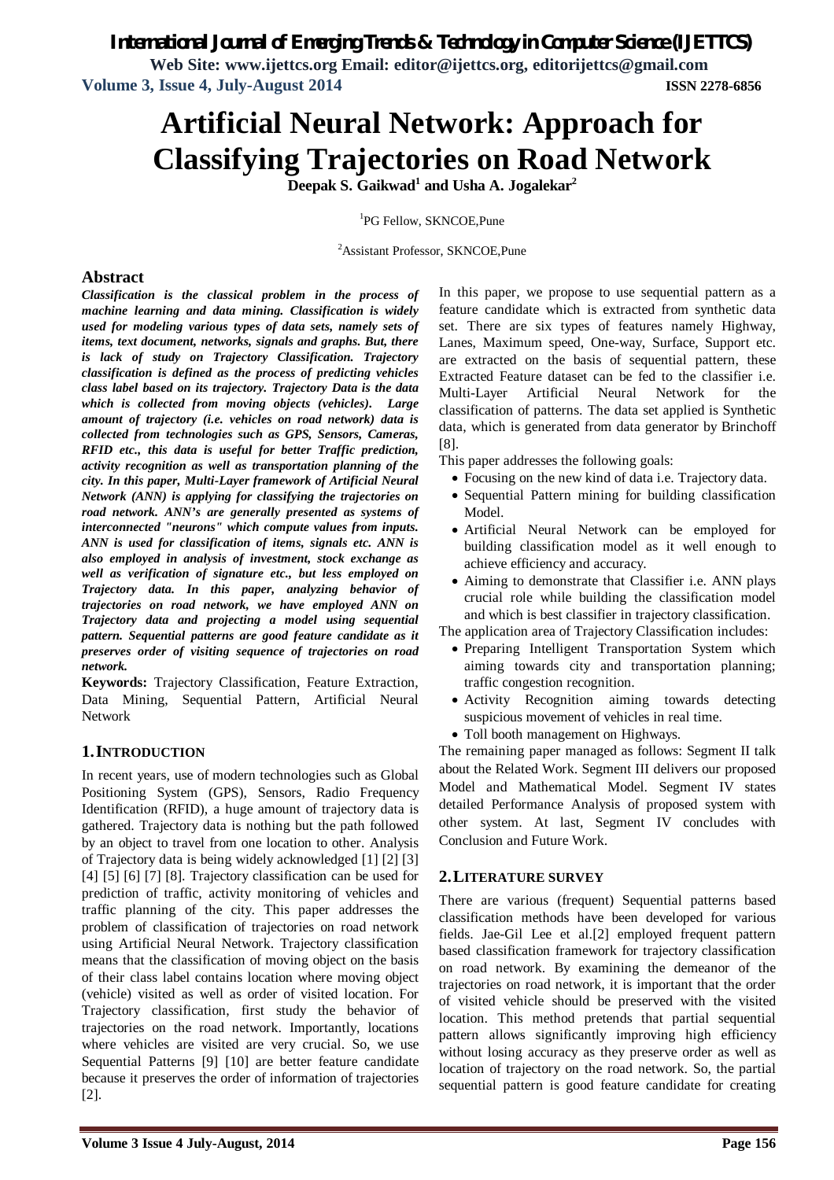*International Journal of Emerging Trends & Technology in Computer Science (IJETTCS)*

**Web Site: www.ijettcs.org Email: editor@ijettcs.org, editorijettcs@gmail.com Volume 3, Issue 4, July-August 2014 ISSN 2278-6856**

# **Artificial Neural Network: Approach for Classifying Trajectories on Road Network**

**Deepak S. Gaikwad<sup>1</sup> and Usha A. Jogalekar<sup>2</sup>**

<sup>1</sup>PG Fellow, SKNCOE, Pune

<sup>2</sup>Assistant Professor, SKNCOE,Pune

# **Abstract**

*Classification is the classical problem in the process of machine learning and data mining. Classification is widely used for modeling various types of data sets, namely sets of items, text document, networks, signals and graphs. But, there is lack of study on Trajectory Classification. Trajectory classification is defined as the process of predicting vehicles class label based on its trajectory. Trajectory Data is the data which is collected from moving objects (vehicles). Large amount of trajectory (i.e. vehicles on road network) data is collected from technologies such as GPS, Sensors, Cameras, RFID etc., this data is useful for better Traffic prediction, activity recognition as well as transportation planning of the city. In this paper, Multi-Layer framework of Artificial Neural Network (ANN) is applying for classifying the trajectories on road network. ANN's are generally presented as systems of interconnected "neurons" which compute values from inputs. ANN is used for classification of items, signals etc. ANN is also employed in analysis of investment, stock exchange as well as verification of signature etc., but less employed on Trajectory data. In this paper, analyzing behavior of trajectories on road network, we have employed ANN on Trajectory data and projecting a model using sequential pattern. Sequential patterns are good feature candidate as it preserves order of visiting sequence of trajectories on road network.*

**Keywords:** Trajectory Classification, Feature Extraction, Data Mining, Sequential Pattern, Artificial Neural Network

# **1.INTRODUCTION**

In recent years, use of modern technologies such as Global Positioning System (GPS), Sensors, Radio Frequency Identification (RFID), a huge amount of trajectory data is gathered. Trajectory data is nothing but the path followed by an object to travel from one location to other. Analysis of Trajectory data is being widely acknowledged [1] [2] [3] [4] [5] [6] [7] [8]. Trajectory classification can be used for prediction of traffic, activity monitoring of vehicles and traffic planning of the city. This paper addresses the problem of classification of trajectories on road network using Artificial Neural Network. Trajectory classification means that the classification of moving object on the basis of their class label contains location where moving object (vehicle) visited as well as order of visited location. For Trajectory classification, first study the behavior of trajectories on the road network. Importantly, locations where vehicles are visited are very crucial. So, we use Sequential Patterns [9] [10] are better feature candidate because it preserves the order of information of trajectories [2].

In this paper, we propose to use sequential pattern as a feature candidate which is extracted from synthetic data set. There are six types of features namely Highway, Lanes, Maximum speed, One-way, Surface, Support etc. are extracted on the basis of sequential pattern, these Extracted Feature dataset can be fed to the classifier i.e. Multi-Layer Artificial Neural Network for the classification of patterns. The data set applied is Synthetic data, which is generated from data generator by Brinchoff [8].

This paper addresses the following goals:

- Focusing on the new kind of data i.e. Trajectory data.
- Sequential Pattern mining for building classification Model.
- Artificial Neural Network can be employed for building classification model as it well enough to achieve efficiency and accuracy.
- Aiming to demonstrate that Classifier i.e. ANN plays crucial role while building the classification model and which is best classifier in trajectory classification.

The application area of Trajectory Classification includes:

- Preparing Intelligent Transportation System which aiming towards city and transportation planning; traffic congestion recognition.
- Activity Recognition aiming towards detecting suspicious movement of vehicles in real time.
- Toll booth management on Highways.

The remaining paper managed as follows: Segment II talk about the Related Work. Segment III delivers our proposed Model and Mathematical Model. Segment IV states detailed Performance Analysis of proposed system with other system. At last, Segment IV concludes with Conclusion and Future Work.

# **2.LITERATURE SURVEY**

There are various (frequent) Sequential patterns based classification methods have been developed for various fields. Jae-Gil Lee et al.[2] employed frequent pattern based classification framework for trajectory classification on road network. By examining the demeanor of the trajectories on road network, it is important that the order of visited vehicle should be preserved with the visited location. This method pretends that partial sequential pattern allows significantly improving high efficiency without losing accuracy as they preserve order as well as location of trajectory on the road network. So, the partial sequential pattern is good feature candidate for creating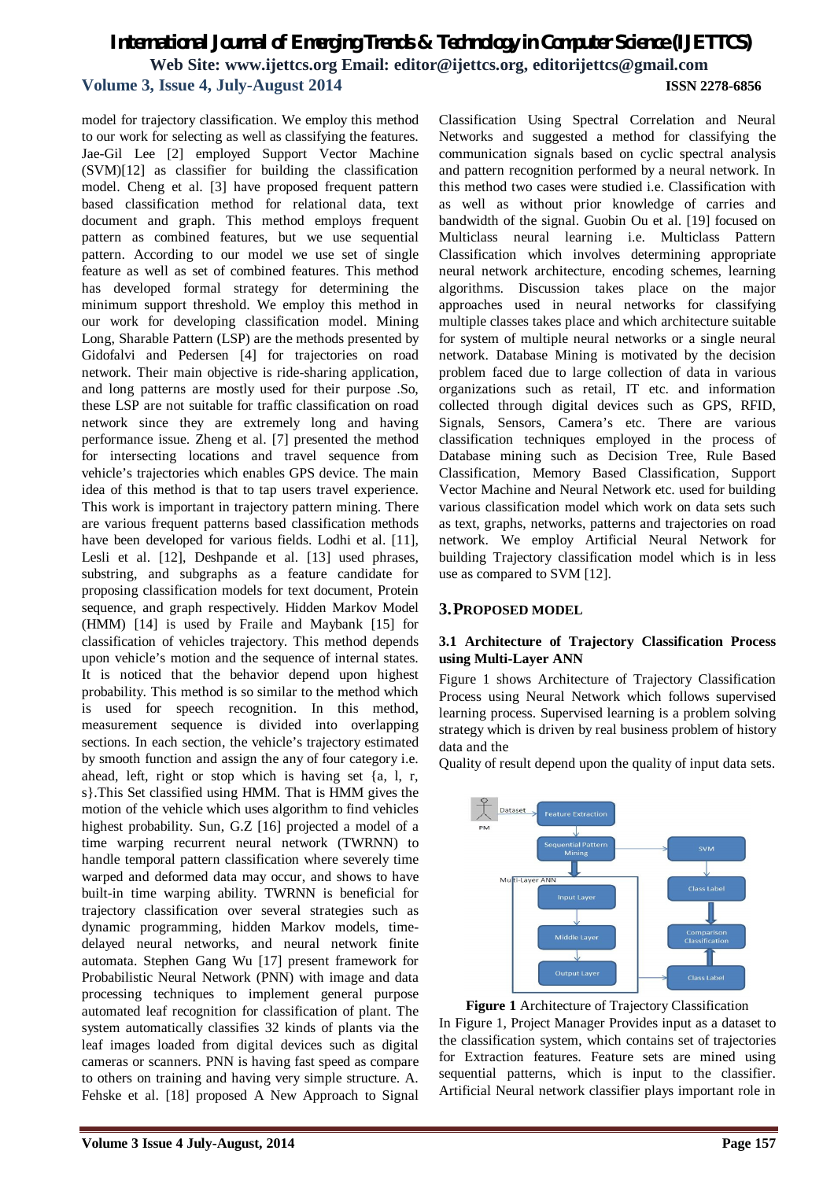model for trajectory classification. We employ this method to our work for selecting as well as classifying the features. Jae-Gil Lee [2] employed Support Vector Machine (SVM)[12] as classifier for building the classification model. Cheng et al. [3] have proposed frequent pattern based classification method for relational data, text document and graph. This method employs frequent pattern as combined features, but we use sequential pattern. According to our model we use set of single feature as well as set of combined features. This method has developed formal strategy for determining the minimum support threshold. We employ this method in our work for developing classification model. Mining Long, Sharable Pattern (LSP) are the methods presented by Gidofalvi and Pedersen [4] for trajectories on road network. Their main objective is ride-sharing application, and long patterns are mostly used for their purpose .So, these LSP are not suitable for traffic classification on road network since they are extremely long and having performance issue. Zheng et al. [7] presented the method for intersecting locations and travel sequence from vehicle's trajectories which enables GPS device. The main idea of this method is that to tap users travel experience. This work is important in trajectory pattern mining. There are various frequent patterns based classification methods have been developed for various fields. Lodhi et al. [11], Lesli et al. [12], Deshpande et al. [13] used phrases, substring, and subgraphs as a feature candidate for proposing classification models for text document, Protein sequence, and graph respectively. Hidden Markov Model (HMM) [14] is used by Fraile and Maybank [15] for classification of vehicles trajectory. This method depends upon vehicle's motion and the sequence of internal states. It is noticed that the behavior depend upon highest probability. This method is so similar to the method which is used for speech recognition. In this method, measurement sequence is divided into overlapping sections. In each section, the vehicle's trajectory estimated by smooth function and assign the any of four category i.e. ahead, left, right or stop which is having set {a, l, r, s}.This Set classified using HMM. That is HMM gives the motion of the vehicle which uses algorithm to find vehicles highest probability. Sun, G.Z [16] projected a model of a time warping recurrent neural network (TWRNN) to handle temporal pattern classification where severely time warped and deformed data may occur, and shows to have built-in time warping ability. TWRNN is beneficial for trajectory classification over several strategies such as dynamic programming, hidden Markov models, timedelayed neural networks, and neural network finite automata. Stephen Gang Wu [17] present framework for Probabilistic Neural Network (PNN) with image and data processing techniques to implement general purpose automated leaf recognition for classification of plant. The system automatically classifies 32 kinds of plants via the leaf images loaded from digital devices such as digital cameras or scanners. PNN is having fast speed as compare to others on training and having very simple structure. A. Fehske et al. [18] proposed A New Approach to Signal

Classification Using Spectral Correlation and Neural Networks and suggested a method for classifying the communication signals based on cyclic spectral analysis and pattern recognition performed by a neural network. In this method two cases were studied i.e. Classification with as well as without prior knowledge of carries and bandwidth of the signal. Guobin Ou et al. [19] focused on Multiclass neural learning i.e. Multiclass Pattern Classification which involves determining appropriate neural network architecture, encoding schemes, learning algorithms. Discussion takes place on the major approaches used in neural networks for classifying multiple classes takes place and which architecture suitable for system of multiple neural networks or a single neural network. Database Mining is motivated by the decision problem faced due to large collection of data in various organizations such as retail, IT etc. and information collected through digital devices such as GPS, RFID, Signals, Sensors, Camera's etc. There are various classification techniques employed in the process of Database mining such as Decision Tree, Rule Based Classification, Memory Based Classification, Support Vector Machine and Neural Network etc. used for building various classification model which work on data sets such as text, graphs, networks, patterns and trajectories on road network. We employ Artificial Neural Network for building Trajectory classification model which is in less use as compared to SVM [12].

### **3.PROPOSED MODEL**

#### **3.1 Architecture of Trajectory Classification Process using Multi-Layer ANN**

Figure 1 shows Architecture of Trajectory Classification Process using Neural Network which follows supervised learning process. Supervised learning is a problem solving strategy which is driven by real business problem of history data and the

Quality of result depend upon the quality of input data sets.



**Figure 1** Architecture of Trajectory Classification

In Figure 1, Project Manager Provides input as a dataset to the classification system, which contains set of trajectories for Extraction features. Feature sets are mined using sequential patterns, which is input to the classifier. Artificial Neural network classifier plays important role in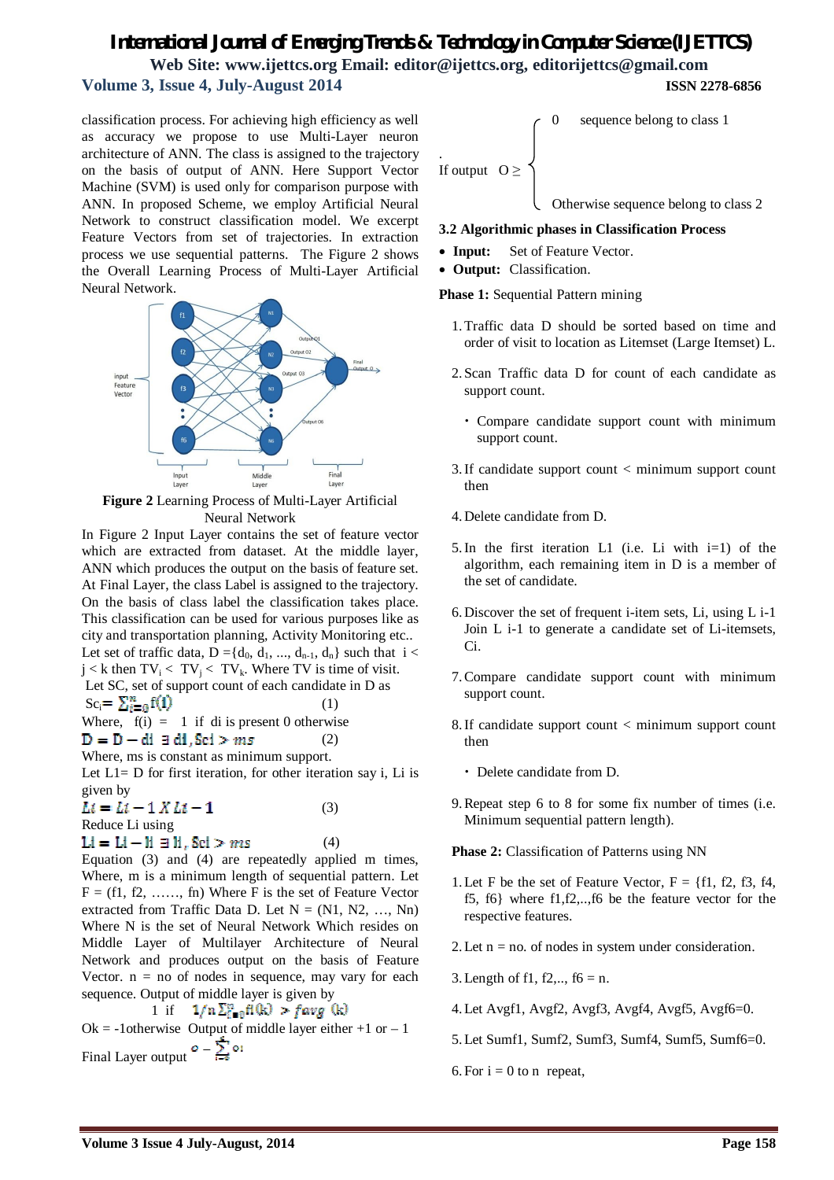classification process. For achieving high efficiency as well as accuracy we propose to use Multi-Layer neuron architecture of ANN. The class is assigned to the trajectory on the basis of output of ANN. Here Support Vector Machine (SVM) is used only for comparison purpose with ANN. In proposed Scheme, we employ Artificial Neural Network to construct classification model. We excerpt Feature Vectors from set of trajectories. In extraction process we use sequential patterns. The Figure 2 shows the Overall Learning Process of Multi-Layer Artificial Neural Network.



**Figure 2** Learning Process of Multi-Layer Artificial Neural Network

In Figure 2 Input Layer contains the set of feature vector which are extracted from dataset. At the middle layer, ANN which produces the output on the basis of feature set. At Final Layer, the class Label is assigned to the trajectory. On the basis of class label the classification takes place. This classification can be used for various purposes like as city and transportation planning, Activity Monitoring etc.. Let set of traffic data,  $D = \{d_0, d_1, ..., d_{n-1}, d_n\}$  such that  $i <$  $j < k$  then  $TV_i < TV_j < TV_k$ . Where TV is time of visit. Let SC, set of support count of each candidate in D as  $Sc_i = \sum_{i=0}^{n} f(i)$  (1) Where,  $f(i) = 1$  if di is present 0 otherwise  $D = D - di \exists di, Sci > ms$  (2)

Where, ms is constant as minimum support.

Let L1= D for first iteration, for other iteration say i, Li is given by

 $Li = Li - 1 X Li - 1$ (3) Reduce Li using

 $\text{Li} = \text{Li} - \text{li} \equiv \text{li} \, , \text{Sci} > ms$  (4)

Equation (3) and (4) are repeatedly applied m times, Where, m is a minimum length of sequential pattern. Let  $F = (f1, f2, \ldots, fn)$  Where F is the set of Feature Vector extracted from Traffic Data D. Let  $N = (N1, N2, ..., Nn)$ Where N is the set of Neural Network Which resides on Middle Layer of Multilayer Architecture of Neural Network and produces output on the basis of Feature Vector.  $n = no$  of nodes in sequence, may vary for each sequence. Output of middle layer is given by

1 if  $1/n \sum_{i=0}^n f(i(k)) > favg(k)$ Ok = -1otherwise Output of middle layer either  $+1$  or  $-1$ 

Final Layer output  $\mathbf{c} - \sum_{i=1}^{n} \mathbf{c}_i$ 

0 sequence belong to class 1

$$
\begin{array}{c}\n\cdot \\
\text{If output} \quad O \geq \end{array}
$$

Otherwise sequence belong to class 2

#### **3.2 Algorithmic phases in Classification Process**

- **Input:** Set of Feature Vector.
- **Output:** Classification.

**Phase 1:** Sequential Pattern mining

- 1.Traffic data D should be sorted based on time and order of visit to location as Litemset (Large Itemset) L.
- 2.Scan Traffic data D for count of each candidate as support count.
	- Compare candidate support count with minimum support count.
- 3.If candidate support count < minimum support count then
- 4.Delete candidate from D.
- 5.In the first iteration L1 (i.e. Li with i=1) of the algorithm, each remaining item in D is a member of the set of candidate.
- 6.Discover the set of frequent i-item sets, Li, using L i-1 Join L i-1 to generate a candidate set of Li-itemsets, Ci.
- 7.Compare candidate support count with minimum support count.
- 8.If candidate support count < minimum support count then
	- Delete candidate from D.
- 9.Repeat step 6 to 8 for some fix number of times (i.e. Minimum sequential pattern length).

**Phase 2:** Classification of Patterns using NN

- 1.Let F be the set of Feature Vector, F = {f1, f2, f3, f4, f5, f6} where f1,f2,..,f6 be the feature vector for the respective features.
- 2. Let  $n = no$  of nodes in system under consideration.
- 3. Length of f1, f2,..,  $f6 = n$ .
- 4.Let Avgf1, Avgf2, Avgf3, Avgf4, Avgf5, Avgf6=0.
- 5.Let Sumf1, Sumf2, Sumf3, Sumf4, Sumf5, Sumf6=0.
- 6. For  $i = 0$  to n repeat,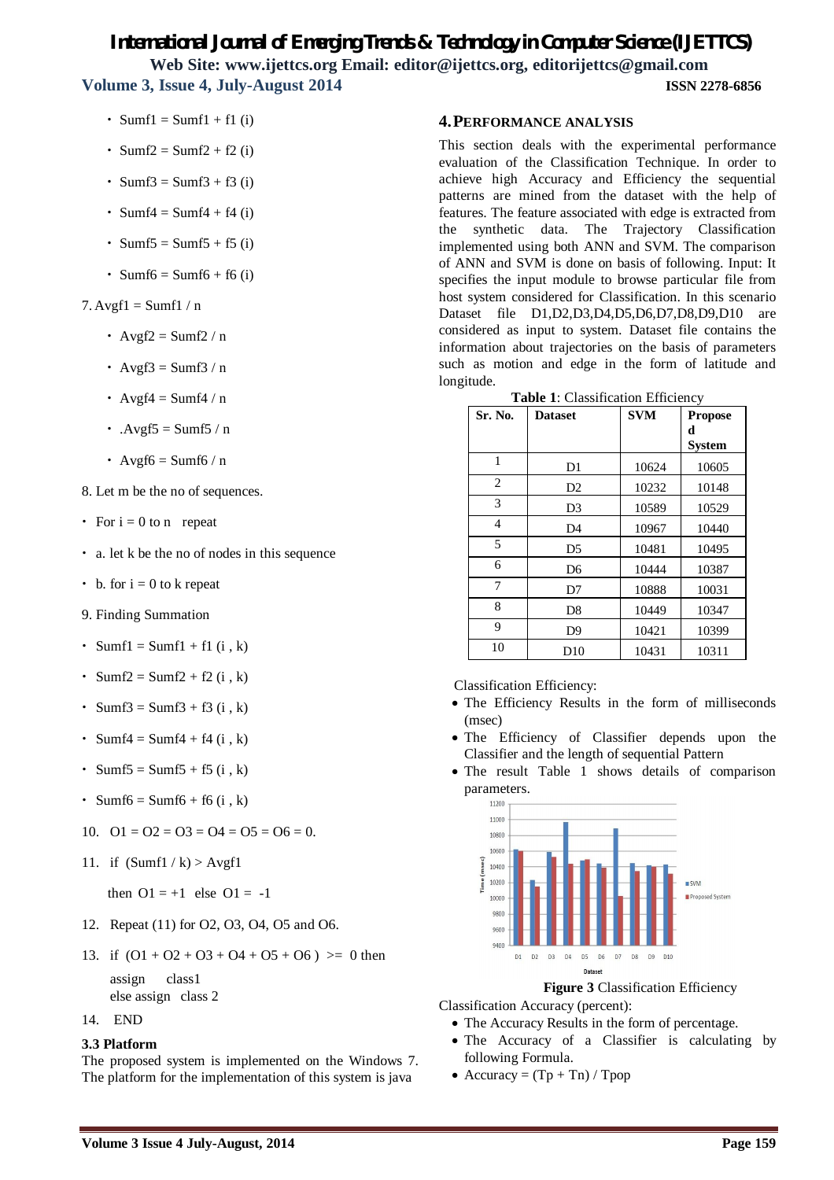- $\cdot$  Sumf1 = Sumf1 + f1 (i)
- Sumf2 = Sumf2 + f2 (i)
- $\cdot$  Sumf3 = Sumf3 + f3 (i)
- $\cdot$  Sumf4 = Sumf4 + f4 (i)
- $\cdot$  Sumf5 = Sumf5 + f5 (i)
- $\cdot$  Sumf6 = Sumf6 + f6 (i)
- $7.$  Avgf $1 =$ Sumf $1 / n$ 
	- Avgf2 = Sumf2 / n
	- Avgf $3 = Sumf3 / n$
	- Avgf $4 = Sumf4 / n$
	- $\cdot$  . Avgf5 = Sumf5 / n
	- Avgf6 = Sumf6 / n
- 8. Let m be the no of sequences.
- For  $i = 0$  to n repeat
- a. let k be the no of nodes in this sequence
- $\cdot$  b. for  $i = 0$  to k repeat
- 9. Finding Summation
- $\cdot$  Sumf1 = Sumf1 + f1 (i, k)
- $\cdot$  Sumf2 = Sumf2 + f2 (i, k)
- $\cdot$  Sumf3 = Sumf3 + f3 (i, k)
- Sumf4 = Sumf4 + f4 (i, k)
- Sumf5 = Sumf5 + f5 (i, k)
- $\cdot$  Sumf6 = Sumf6 + f6 (i, k)
- 10.  $Q_1 = Q_2 = Q_3 = Q_4 = Q_5 = Q_6 = 0.$
- 11. if  $(Sumf1 / k) > Avgf1$ 
	- then  $O1 = +1$  else  $O1 = -1$
- 12. Repeat (11) for O2, O3, O4, O5 and O6.
- 13. if  $(01 + 02 + 03 + 04 + 05 + 06)$   $> = 0$  then assign class1 else assign class 2
- 14. END

#### **3.3 Platform**

The proposed system is implemented on the Windows 7. The platform for the implementation of this system is java

### **4.PERFORMANCE ANALYSIS**

This section deals with the experimental performance evaluation of the Classification Technique. In order to achieve high Accuracy and Efficiency the sequential patterns are mined from the dataset with the help of features. The feature associated with edge is extracted from the synthetic data. The Trajectory Classification implemented using both ANN and SVM. The comparison of ANN and SVM is done on basis of following. Input: It specifies the input module to browse particular file from host system considered for Classification. In this scenario Dataset file D1,D2,D3,D4,D5,D6,D7,D8,D9,D10 are considered as input to system. Dataset file contains the information about trajectories on the basis of parameters such as motion and edge in the form of latitude and longitude.

| <b>Tuble 1.</b> Chabilitation Emploid, |                |            |                                      |  |
|----------------------------------------|----------------|------------|--------------------------------------|--|
| Sr. No.                                | <b>Dataset</b> | <b>SVM</b> | <b>Propose</b><br>d<br><b>System</b> |  |
| 1                                      | D1             | 10624      | 10605                                |  |
| $\overline{c}$                         | D <sub>2</sub> | 10232      | 10148                                |  |
| 3                                      | D <sub>3</sub> | 10589      | 10529                                |  |
| 4                                      | D <sub>4</sub> | 10967      | 10440                                |  |
| 5                                      | D <sub>5</sub> | 10481      | 10495                                |  |
| 6                                      | D <sub>6</sub> | 10444      | 10387                                |  |
| 7                                      | D7             | 10888      | 10031                                |  |
| 8                                      | D <sub>8</sub> | 10449      | 10347                                |  |
| 9                                      | D <sub>9</sub> | 10421      | 10399                                |  |
| 10                                     | D10            | 10431      | 10311                                |  |

**Table 1**: Classification Efficiency

Classification Efficiency:

- The Efficiency Results in the form of milliseconds (msec)
- The Efficiency of Classifier depends upon the Classifier and the length of sequential Pattern
- The result Table 1 shows details of comparison parameters.



**Figure 3** Classification Efficiency

Classification Accuracy (percent):

- The Accuracy Results in the form of percentage.
- The Accuracy of a Classifier is calculating by following Formula.
- Accuracy =  $(Tp + Tn) / Tpop$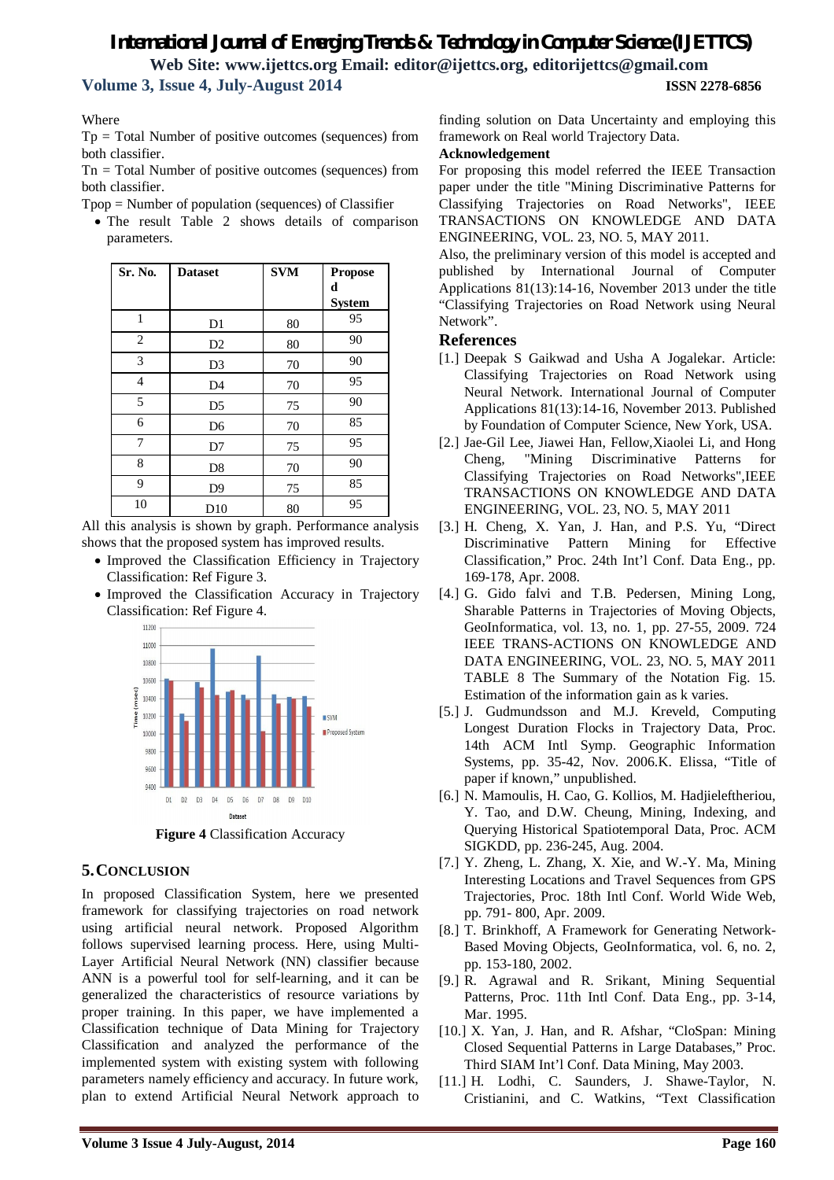#### Where

 $Tp = Total Number of positive outcomes (sequences) from$ both classifier.

 $Tn = Total Number of positive outcomes (sequences) from$ both classifier.

Tpop = Number of population (sequences) of Classifier

 The result Table 2 shows details of comparison parameters.

| Sr. No.        | <b>Dataset</b> | <b>SVM</b> | <b>Propose</b><br>d<br><b>System</b> |
|----------------|----------------|------------|--------------------------------------|
| 1              | D <sub>1</sub> | 80         | 95                                   |
| $\overline{2}$ | D2             | 80         | 90                                   |
| 3              | D <sub>3</sub> | 70         | 90                                   |
| 4              | D <sub>4</sub> | 70         | 95                                   |
| 5              | D5             | 75         | 90                                   |
| 6              | D <sub>6</sub> | 70         | 85                                   |
| 7              | D7             | 75         | 95                                   |
| 8              | D <sub>8</sub> | 70         | 90                                   |
| 9              | D <sub>9</sub> | 75         | 85                                   |
| 10             | D10            | 80         | 95                                   |

All this analysis is shown by graph. Performance analysis shows that the proposed system has improved results.

- Improved the Classification Efficiency in Trajectory Classification: Ref Figure 3.
- Improved the Classification Accuracy in Trajectory Classification: Ref Figure 4.



**Figure 4** Classification Accuracy

### **5.CONCLUSION**

In proposed Classification System, here we presented framework for classifying trajectories on road network using artificial neural network. Proposed Algorithm follows supervised learning process. Here, using Multi-Layer Artificial Neural Network (NN) classifier because ANN is a powerful tool for self-learning, and it can be generalized the characteristics of resource variations by proper training. In this paper, we have implemented a Classification technique of Data Mining for Trajectory Classification and analyzed the performance of the implemented system with existing system with following parameters namely efficiency and accuracy. In future work, plan to extend Artificial Neural Network approach to

#### **Acknowledgement**

For proposing this model referred the IEEE Transaction paper under the title "Mining Discriminative Patterns for Classifying Trajectories on Road Networks", IEEE TRANSACTIONS ON KNOWLEDGE AND DATA ENGINEERING, VOL. 23, NO. 5, MAY 2011.

Also, the preliminary version of this model is accepted and published by International Journal of Computer Applications 81(13):14-16, November 2013 under the title "Classifying Trajectories on Road Network using Neural Network".

#### **References**

- [1.] Deepak S Gaikwad and Usha A Jogalekar. Article: Classifying Trajectories on Road Network using Neural Network. International Journal of Computer Applications 81(13):14-16, November 2013. Published by Foundation of Computer Science, New York, USA.
- [2.] Jae-Gil Lee, Jiawei Han, Fellow,Xiaolei Li, and Hong Cheng, "Mining Discriminative Patterns for Classifying Trajectories on Road Networks",IEEE TRANSACTIONS ON KNOWLEDGE AND DATA ENGINEERING, VOL. 23, NO. 5, MAY 2011
- [3.] H. Cheng, X. Yan, J. Han, and P.S. Yu, "Direct Discriminative Pattern Mining for Effective Classification," Proc. 24th Int'l Conf. Data Eng., pp. 169-178, Apr. 2008.
- [4.] G. Gido falvi and T.B. Pedersen, Mining Long, Sharable Patterns in Trajectories of Moving Objects, GeoInformatica, vol. 13, no. 1, pp. 27-55, 2009. 724 IEEE TRANS-ACTIONS ON KNOWLEDGE AND DATA ENGINEERING, VOL. 23, NO. 5, MAY 2011 TABLE 8 The Summary of the Notation Fig. 15. Estimation of the information gain as k varies.
- [5.] J. Gudmundsson and M.J. Kreveld, Computing Longest Duration Flocks in Trajectory Data, Proc. 14th ACM Intl Symp. Geographic Information Systems, pp. 35-42, Nov. 2006.K. Elissa, "Title of paper if known," unpublished.
- [6.] N. Mamoulis, H. Cao, G. Kollios, M. Hadjieleftheriou, Y. Tao, and D.W. Cheung, Mining, Indexing, and Querying Historical Spatiotemporal Data, Proc. ACM SIGKDD, pp. 236-245, Aug. 2004.
- [7.] Y. Zheng, L. Zhang, X. Xie, and W.-Y. Ma, Mining Interesting Locations and Travel Sequences from GPS Trajectories, Proc. 18th Intl Conf. World Wide Web, pp. 791- 800, Apr. 2009.
- [8.] T. Brinkhoff, A Framework for Generating Network-Based Moving Objects, GeoInformatica, vol. 6, no. 2, pp. 153-180, 2002.
- [9.] R. Agrawal and R. Srikant, Mining Sequential Patterns, Proc. 11th Intl Conf. Data Eng., pp. 3-14, Mar. 1995.
- [10.] X. Yan, J. Han, and R. Afshar, "CloSpan: Mining Closed Sequential Patterns in Large Databases," Proc. Third SIAM Int'l Conf. Data Mining, May 2003.
- [11.] H. Lodhi, C. Saunders, J. Shawe-Taylor, N. Cristianini, and C. Watkins, "Text Classification